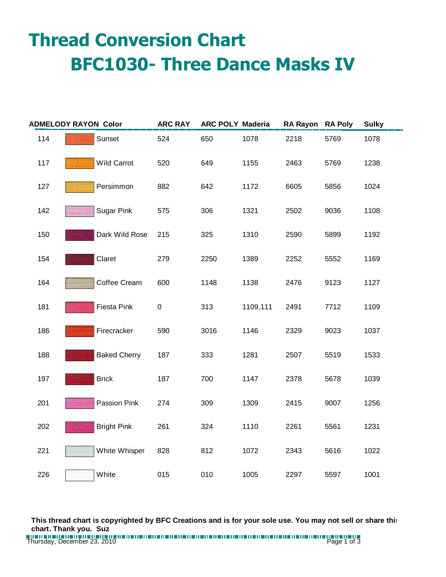## **Thread Conversion Chart BFC1030- Three Dance Masks IV**

| <b>ADMELODY RAYON Color</b> |                     | <b>ARC RAY</b> | <b>ARC POLY Maderia</b> |          | <b>RA Rayon</b> | <b>RA Poly</b> | <b>Sulky</b> |
|-----------------------------|---------------------|----------------|-------------------------|----------|-----------------|----------------|--------------|
| 114                         | Sunset              | 524            | 650                     | 1078     | 2218            | 5769           | 1078         |
| 117                         | <b>Wild Carrot</b>  | 520            | 649                     | 1155     | 2463            | 5769           | 1238         |
| 127                         | Persimmon           | 882            | 642                     | 1172     | 6605            | 5856           | 1024         |
| 142                         | <b>Sugar Pink</b>   | 575            | 306                     | 1321     | 2502            | 9036           | 1108         |
| 150                         | Dark Wild Rose      | 215            | 325                     | 1310     | 2590            | 5899           | 1192         |
| 154                         | Claret              | 279            | 2250                    | 1389     | 2252            | 5552           | 1169         |
| 164                         | Coffee Cream        | 600            | 1148                    | 1138     | 2476            | 9123           | 1127         |
| 181                         | Fiesta Pink         | $\pmb{0}$      | 313                     | 1109,111 | 2491            | 7712           | 1109         |
| 186                         | Firecracker         | 590            | 3016                    | 1146     | 2329            | 9023           | 1037         |
| 188                         | <b>Baked Cherry</b> | 187            | 333                     | 1281     | 2507            | 5519           | 1533         |
| 197                         | <b>Brick</b>        | 187            | 700                     | 1147     | 2378            | 5678           | 1039         |
| 201                         | Passion Pink        | 274            | 309                     | 1309     | 2415            | 9007           | 1256         |
| 202                         | <b>Bright Pink</b>  | 261            | 324                     | 1110     | 2261            | 5561           | 1231         |
| 221                         | White Whisper       | 828            | 812                     | 1072     | 2343            | 5616           | 1022         |
| 226                         | White               | 015            | 010                     | 1005     | 2297            | 5597           | 1001         |

**This thread chart is copyrighted by BFC Creations and is for your sole use. You may not sell or share this chart. Thank you. Suz**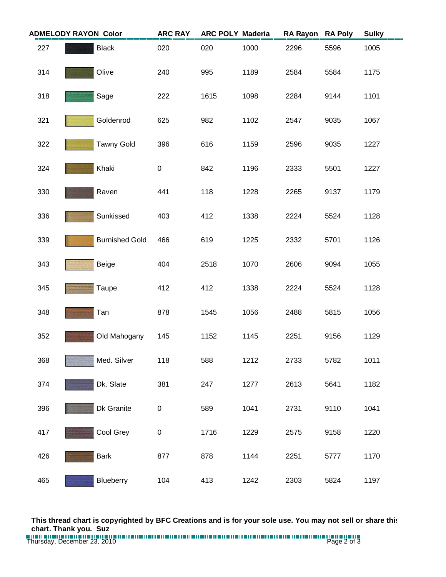| <b>ADMELODY RAYON Color</b> |                       | <b>ARC RAY</b> | <b>ARC POLY Maderia</b> |      | <b>RA Rayon</b> | <b>RA Poly</b> | <b>Sulky</b> |
|-----------------------------|-----------------------|----------------|-------------------------|------|-----------------|----------------|--------------|
| 227                         | <b>Black</b>          | 020            | 020                     | 1000 | 2296            | 5596           | 1005         |
| 314                         | Olive                 | 240            | 995                     | 1189 | 2584            | 5584           | 1175         |
| 318                         | Sage                  | 222            | 1615                    | 1098 | 2284            | 9144           | 1101         |
| 321                         | Goldenrod             | 625            | 982                     | 1102 | 2547            | 9035           | 1067         |
| 322                         | <b>Tawny Gold</b>     | 396            | 616                     | 1159 | 2596            | 9035           | 1227         |
| 324                         | Khaki                 | 0              | 842                     | 1196 | 2333            | 5501           | 1227         |
| 330                         | Raven                 | 441            | 118                     | 1228 | 2265            | 9137           | 1179         |
| 336                         | Sunkissed             | 403            | 412                     | 1338 | 2224            | 5524           | 1128         |
| 339                         | <b>Burnished Gold</b> | 466            | 619                     | 1225 | 2332            | 5701           | 1126         |
| 343                         | Beige                 | 404            | 2518                    | 1070 | 2606            | 9094           | 1055         |
| 345                         | Taupe                 | 412            | 412                     | 1338 | 2224            | 5524           | 1128         |
| 348                         | Tan                   | 878            | 1545                    | 1056 | 2488            | 5815           | 1056         |
| 352                         | Old Mahogany          | 145            | 1152                    | 1145 | 2251            | 9156           | 1129         |
| 368                         | Med. Silver           | 118            | 588                     | 1212 | 2733            | 5782           | 1011         |
| 374                         | Dk. Slate             | 381            | 247                     | 1277 | 2613            | 5641           | 1182         |
| 396                         | Dk Granite            | 0              | 589                     | 1041 | 2731            | 9110           | 1041         |
| 417                         | Cool Grey             | 0              | 1716                    | 1229 | 2575            | 9158           | 1220         |
| 426                         | <b>Bark</b>           | 877            | 878                     | 1144 | 2251            | 5777           | 1170         |
| 465                         | Blueberry             | 104            | 413                     | 1242 | 2303            | 5824           | 1197         |

**This thread chart is copyrighted by BFC Creations and is for your sole use. You may not sell or share this chart. Thank you. Suz**